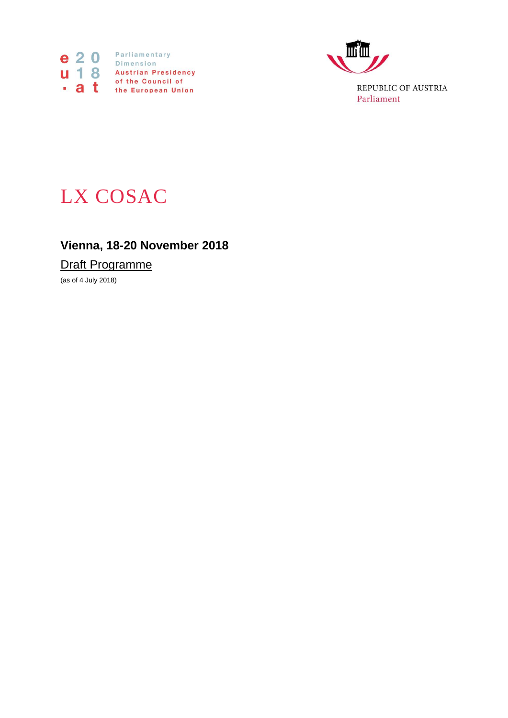



# LX COSAC

## **Vienna, 18-20 November 2018**

Draft Programme

(as of 4 July 2018)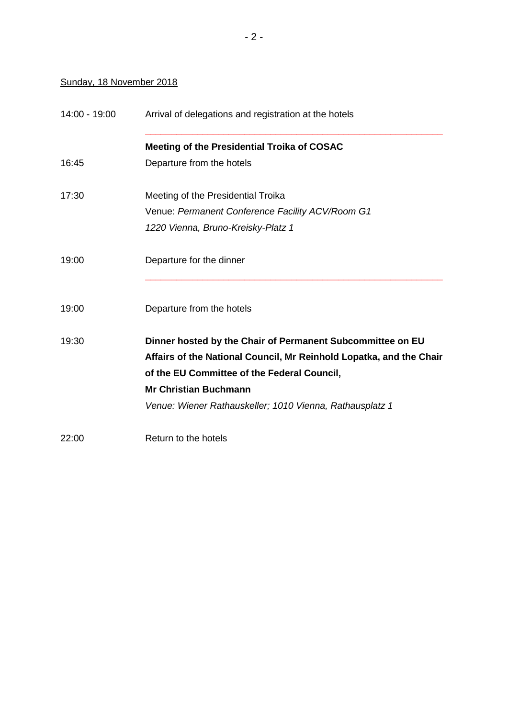#### Sunday, 18 November 2018

| 14:00 - 19:00 | Arrival of delegations and registration at the hotels               |
|---------------|---------------------------------------------------------------------|
|               | Meeting of the Presidential Troika of COSAC                         |
| 16:45         | Departure from the hotels                                           |
| 17:30         | Meeting of the Presidential Troika                                  |
|               | Venue: Permanent Conference Facility ACV/Room G1                    |
|               | 1220 Vienna, Bruno-Kreisky-Platz 1                                  |
| 19:00         | Departure for the dinner                                            |
| 19:00         | Departure from the hotels                                           |
| 19:30         | Dinner hosted by the Chair of Permanent Subcommittee on EU          |
|               | Affairs of the National Council, Mr Reinhold Lopatka, and the Chair |
|               | of the EU Committee of the Federal Council,                         |
|               | <b>Mr Christian Buchmann</b>                                        |
|               | Venue: Wiener Rathauskeller; 1010 Vienna, Rathausplatz 1            |
| 22:00         | Return to the hotels                                                |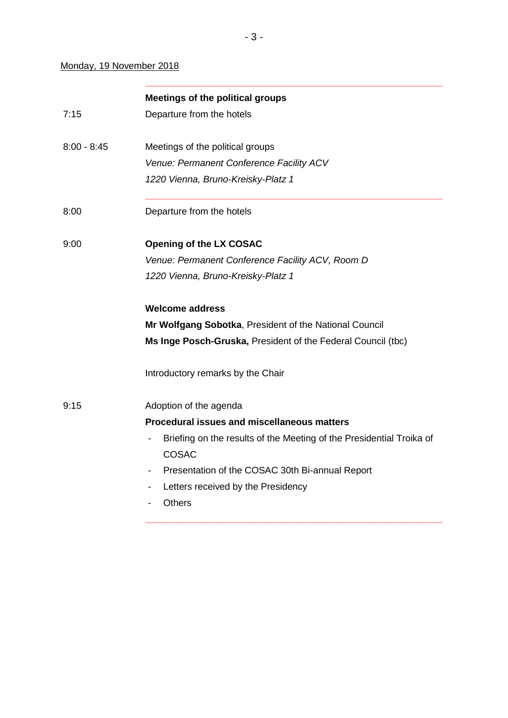#### Monday, 19 November 2018

|               | <b>Meetings of the political groups</b>                              |
|---------------|----------------------------------------------------------------------|
| 7:15          | Departure from the hotels                                            |
| $8:00 - 8:45$ | Meetings of the political groups                                     |
|               | Venue: Permanent Conference Facility ACV                             |
|               | 1220 Vienna, Bruno-Kreisky-Platz 1                                   |
| 8:00          | Departure from the hotels                                            |
| 9:00          | <b>Opening of the LX COSAC</b>                                       |
|               | Venue: Permanent Conference Facility ACV, Room D                     |
|               | 1220 Vienna, Bruno-Kreisky-Platz 1                                   |
|               | <b>Welcome address</b>                                               |
|               | Mr Wolfgang Sobotka, President of the National Council               |
|               | Ms Inge Posch-Gruska, President of the Federal Council (tbc)         |
|               | Introductory remarks by the Chair                                    |
| 9:15          | Adoption of the agenda                                               |
|               | <b>Procedural issues and miscellaneous matters</b>                   |
|               | Briefing on the results of the Meeting of the Presidential Troika of |
|               | COSAC                                                                |
|               | Presentation of the COSAC 30th Bi-annual Report                      |
|               | Letters received by the Presidency<br>$\overline{\phantom{a}}$       |
|               | <b>Others</b>                                                        |
|               |                                                                      |

**\_\_\_\_\_\_\_\_\_\_\_\_\_\_\_\_\_\_\_\_\_\_\_\_\_\_\_\_\_\_\_\_\_\_\_\_\_\_\_\_\_\_\_\_\_\_\_\_\_\_\_\_\_\_\_\_\_**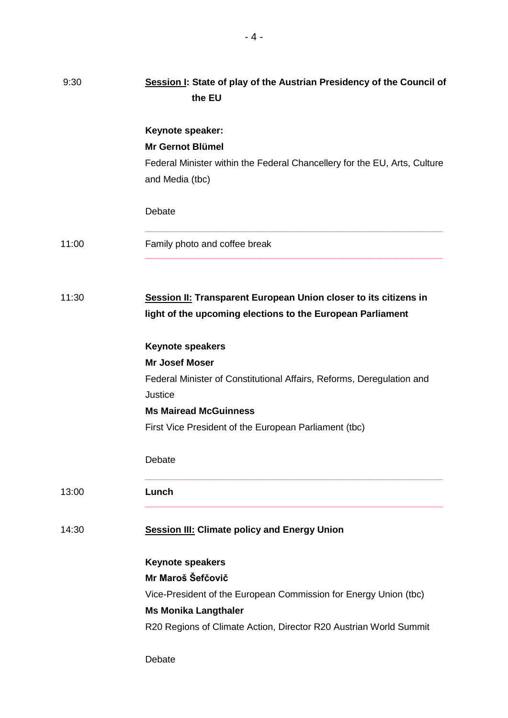| 9:30  | Session I: State of play of the Austrian Presidency of the Council of<br>the EU |
|-------|---------------------------------------------------------------------------------|
|       | Keynote speaker:                                                                |
|       | <b>Mr Gernot Blümel</b>                                                         |
|       | Federal Minister within the Federal Chancellery for the EU, Arts, Culture       |
|       | and Media (tbc)                                                                 |
|       | Debate                                                                          |
| 11:00 | Family photo and coffee break                                                   |
|       |                                                                                 |
| 11:30 | Session II: Transparent European Union closer to its citizens in                |
|       | light of the upcoming elections to the European Parliament                      |
|       | <b>Keynote speakers</b>                                                         |
|       | <b>Mr Josef Moser</b>                                                           |
|       | Federal Minister of Constitutional Affairs, Reforms, Deregulation and           |
|       | Justice                                                                         |
|       | <b>Ms Mairead McGuinness</b>                                                    |
|       | First Vice President of the European Parliament (tbc)                           |
|       | Debate                                                                          |
| 13:00 | Lunch                                                                           |
| 14:30 | <b>Session III: Climate policy and Energy Union</b>                             |
|       | <b>Keynote speakers</b>                                                         |
|       | Mr Maroš Šefčovič                                                               |
|       | Vice-President of the European Commission for Energy Union (tbc)                |
|       | <b>Ms Monika Langthaler</b>                                                     |
|       | R20 Regions of Climate Action, Director R20 Austrian World Summit               |
|       | Debate                                                                          |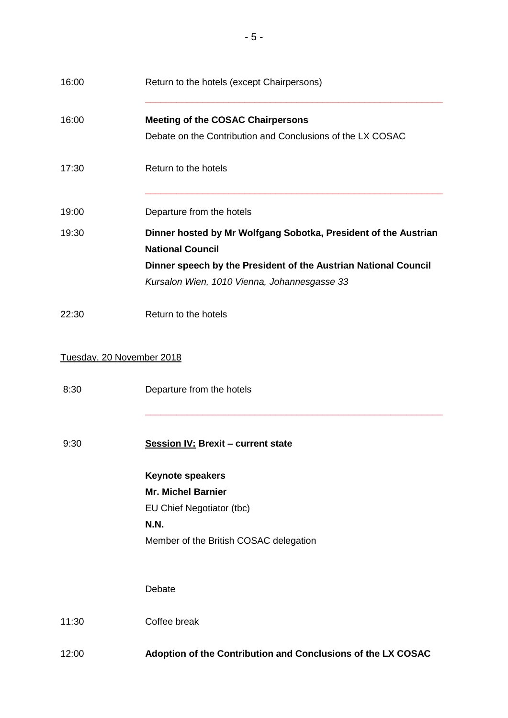| 16:00                     | Return to the hotels (except Chairpersons)                      |
|---------------------------|-----------------------------------------------------------------|
| 16:00                     | <b>Meeting of the COSAC Chairpersons</b>                        |
|                           | Debate on the Contribution and Conclusions of the LX COSAC      |
| 17:30                     | Return to the hotels                                            |
| 19:00                     | Departure from the hotels                                       |
| 19:30                     | Dinner hosted by Mr Wolfgang Sobotka, President of the Austrian |
|                           | <b>National Council</b>                                         |
|                           | Dinner speech by the President of the Austrian National Council |
|                           | Kursalon Wien, 1010 Vienna, Johannesgasse 33                    |
| 22:30                     | Return to the hotels                                            |
| Tuesday, 20 November 2018 |                                                                 |
| 8:30                      | Departure from the hotels                                       |
| 9:30                      | <b>Session IV: Brexit - current state</b>                       |
|                           | <b>Keynote speakers</b>                                         |
|                           | <b>Mr. Michel Barnier</b>                                       |
|                           | EU Chief Negotiator (tbc)                                       |
|                           | <b>N.N.</b>                                                     |
|                           | Member of the British COSAC delegation                          |
|                           |                                                                 |
|                           | Debate                                                          |
| 11:30                     | Coffee break                                                    |
| 12:00                     | Adoption of the Contribution and Conclusions of the LX COSAC    |